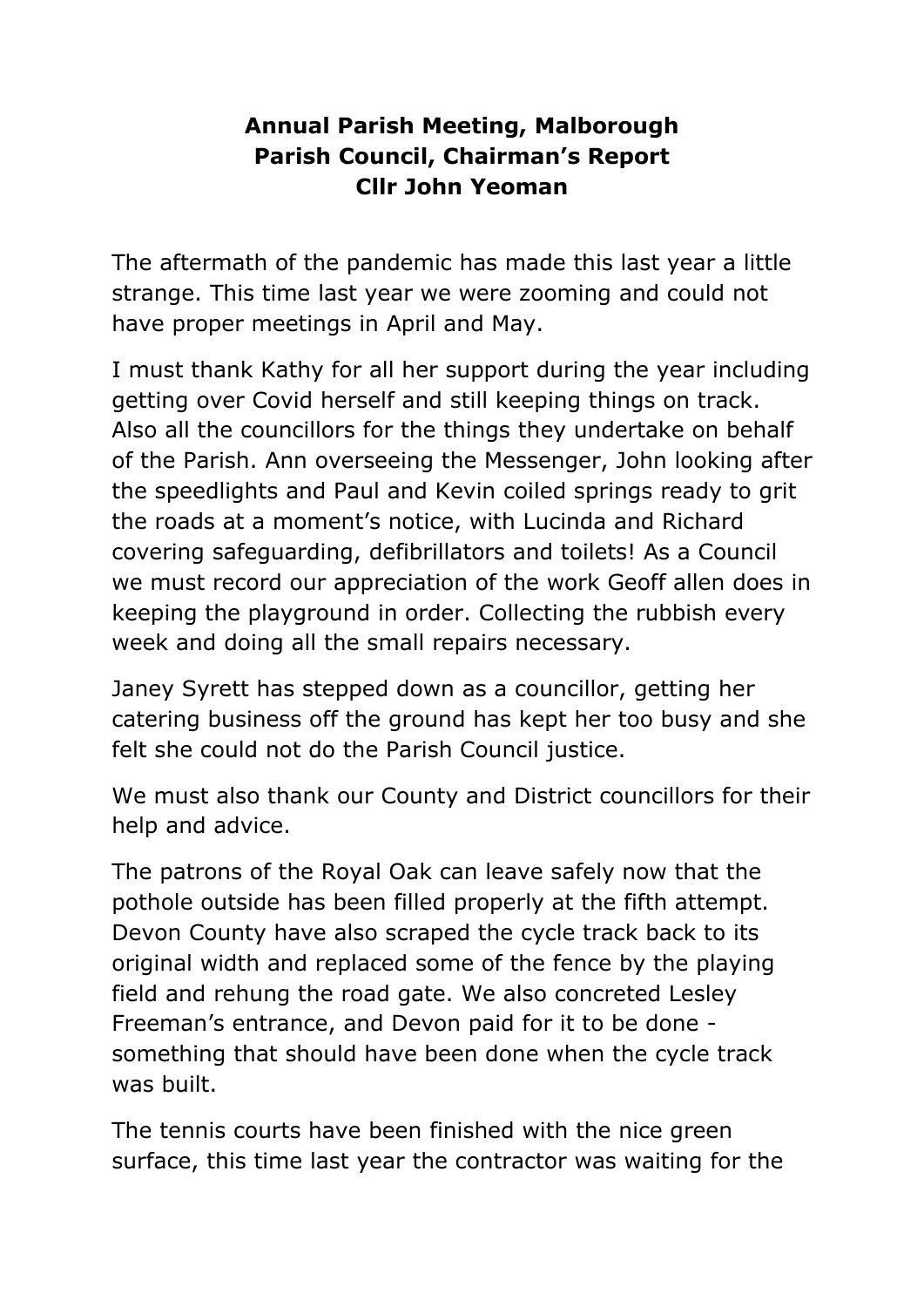## **Annual Parish Meeting, Malborough Parish Council, Chairman's Report Cllr John Yeoman**

The aftermath of the pandemic has made this last year a little strange. This time last year we were zooming and could not have proper meetings in April and May.

I must thank Kathy for all her support during the year including getting over Covid herself and still keeping things on track. Also all the councillors for the things they undertake on behalf of the Parish. Ann overseeing the Messenger, John looking after the speedlights and Paul and Kevin coiled springs ready to grit the roads at a moment's notice, with Lucinda and Richard covering safeguarding, defibrillators and toilets! As a Council we must record our appreciation of the work Geoff allen does in keeping the playground in order. Collecting the rubbish every week and doing all the small repairs necessary.

Janey Syrett has stepped down as a councillor, getting her catering business off the ground has kept her too busy and she felt she could not do the Parish Council justice.

We must also thank our County and District councillors for their help and advice.

The patrons of the Royal Oak can leave safely now that the pothole outside has been filled properly at the fifth attempt. Devon County have also scraped the cycle track back to its original width and replaced some of the fence by the playing field and rehung the road gate. We also concreted Lesley Freeman's entrance, and Devon paid for it to be done something that should have been done when the cycle track was built.

The tennis courts have been finished with the nice green surface, this time last year the contractor was waiting for the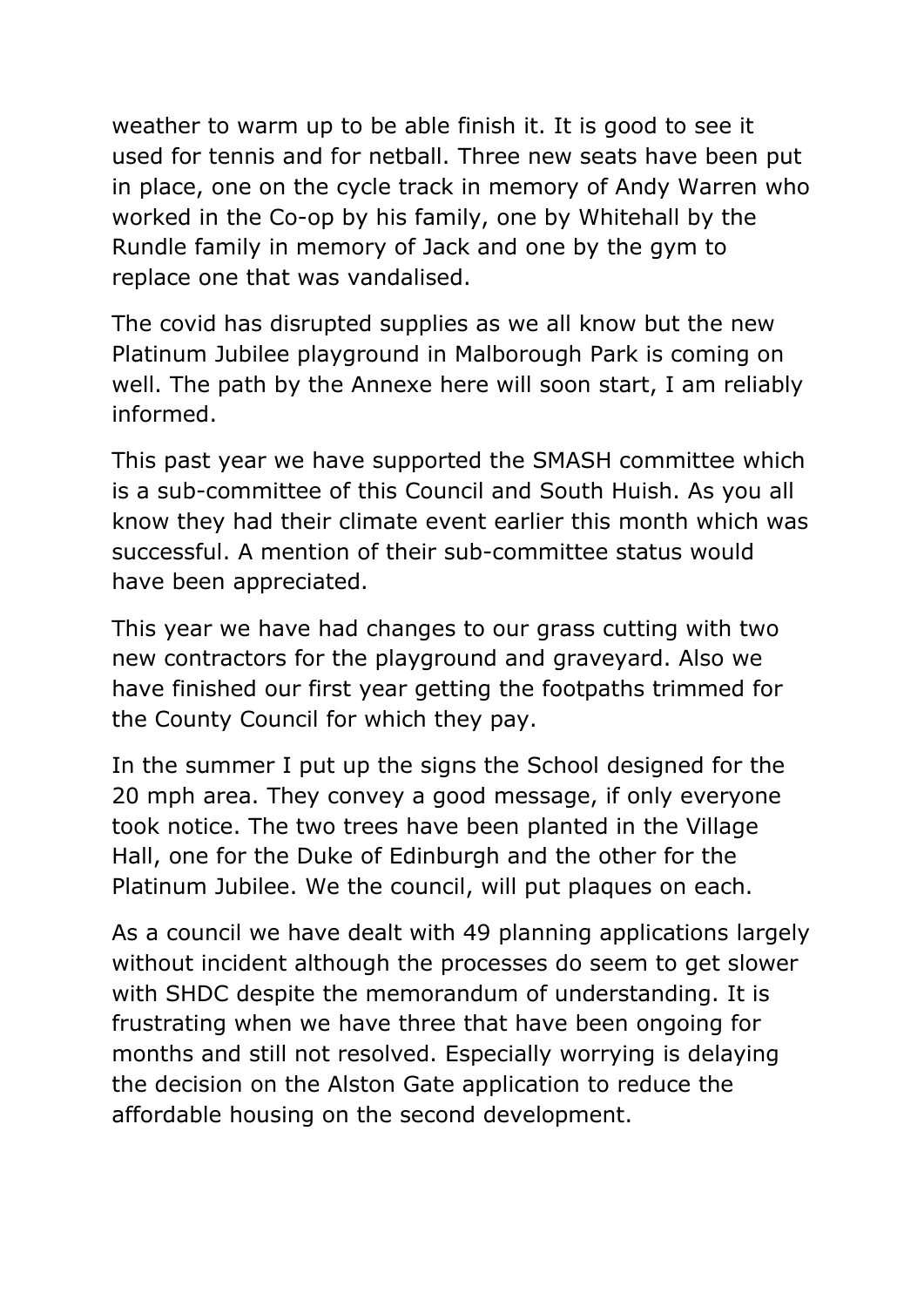weather to warm up to be able finish it. It is good to see it used for tennis and for netball. Three new seats have been put in place, one on the cycle track in memory of Andy Warren who worked in the Co-op by his family, one by Whitehall by the Rundle family in memory of Jack and one by the gym to replace one that was vandalised.

The covid has disrupted supplies as we all know but the new Platinum Jubilee playground in Malborough Park is coming on well. The path by the Annexe here will soon start, I am reliably informed.

This past year we have supported the SMASH committee which is a sub-committee of this Council and South Huish. As you all know they had their climate event earlier this month which was successful. A mention of their sub-committee status would have been appreciated.

This year we have had changes to our grass cutting with two new contractors for the playground and graveyard. Also we have finished our first year getting the footpaths trimmed for the County Council for which they pay.

In the summer I put up the signs the School designed for the 20 mph area. They convey a good message, if only everyone took notice. The two trees have been planted in the Village Hall, one for the Duke of Edinburgh and the other for the Platinum Jubilee. We the council, will put plaques on each.

As a council we have dealt with 49 planning applications largely without incident although the processes do seem to get slower with SHDC despite the memorandum of understanding. It is frustrating when we have three that have been ongoing for months and still not resolved. Especially worrying is delaying the decision on the Alston Gate application to reduce the affordable housing on the second development.